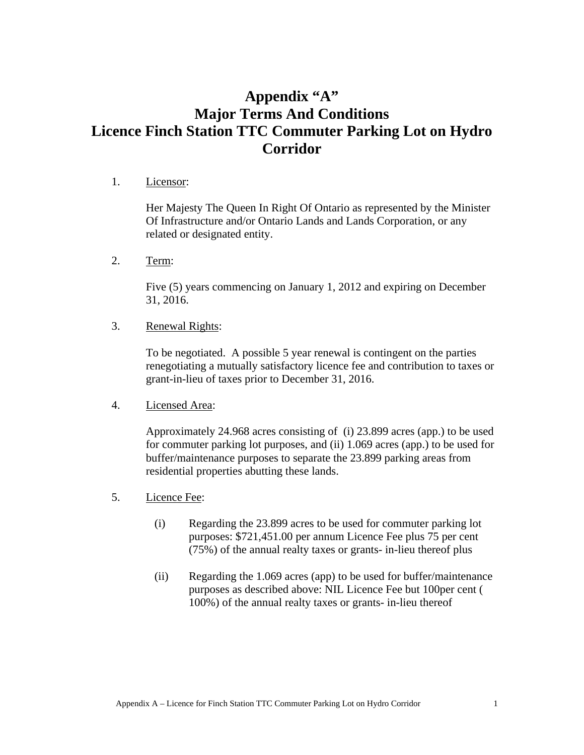# **Appendix "A" Major Terms And Conditions Licence Finch Station TTC Commuter Parking Lot on Hydro Corridor**

## 1. Licensor:

Her Majesty The Queen In Right Of Ontario as represented by the Minister Of Infrastructure and/or Ontario Lands and Lands Corporation, or any related or designated entity.

2. Term:

Five (5) years commencing on January 1, 2012 and expiring on December 31, 2016.

3. Renewal Rights:

To be negotiated. A possible 5 year renewal is contingent on the parties renegotiating a mutually satisfactory licence fee and contribution to taxes or grant-in-lieu of taxes prior to December 31, 2016.

4. Licensed Area:

Approximately 24.968 acres consisting of (i) 23.899 acres (app.) to be used for commuter parking lot purposes, and (ii) 1.069 acres (app.) to be used for buffer/maintenance purposes to separate the 23.899 parking areas from residential properties abutting these lands.

- 5. Licence Fee:
	- (i) Regarding the 23.899 acres to be used for commuter parking lot purposes: \$721,451.00 per annum Licence Fee plus 75 per cent (75%) of the annual realty taxes or grants- in-lieu thereof plus
	- (ii) Regarding the 1.069 acres (app) to be used for buffer/maintenance purposes as described above: NIL Licence Fee but 100per cent ( 100%) of the annual realty taxes or grants- in-lieu thereof